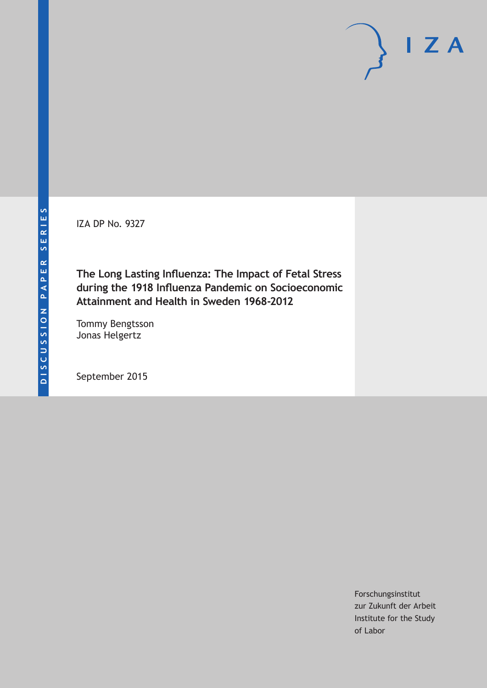IZA DP No. 9327

**The Long Lasting Influenza: The Impact of Fetal Stress during the 1918 Influenza Pandemic on Socioeconomic Attainment and Health in Sweden 1968-2012**

Tommy Bengtsson Jonas Helgertz

September 2015

Forschungsinstitut zur Zukunft der Arbeit Institute for the Study of Labor

 $I Z A$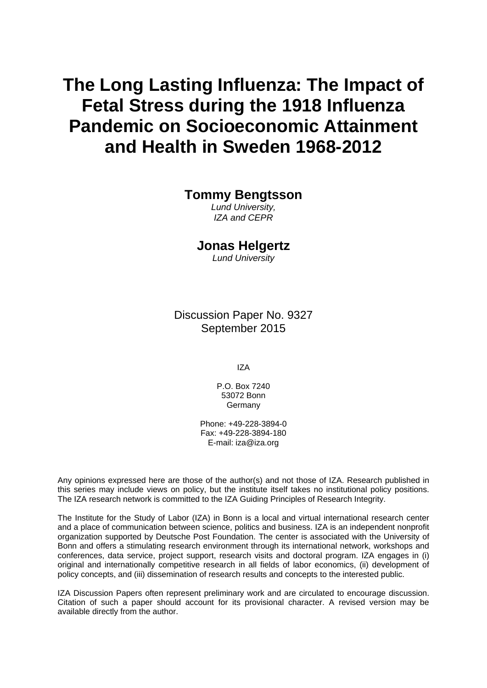# **The Long Lasting Influenza: The Impact of Fetal Stress during the 1918 Influenza Pandemic on Socioeconomic Attainment and Health in Sweden 1968-2012**

## **Tommy Bengtsson**

*Lund University, IZA and CEPR* 

### **Jonas Helgertz**

*Lund University* 

Discussion Paper No. 9327 September 2015

IZA

P.O. Box 7240 53072 Bonn Germany

Phone: +49-228-3894-0 Fax: +49-228-3894-180 E-mail: iza@iza.org

Any opinions expressed here are those of the author(s) and not those of IZA. Research published in this series may include views on policy, but the institute itself takes no institutional policy positions. The IZA research network is committed to the IZA Guiding Principles of Research Integrity.

The Institute for the Study of Labor (IZA) in Bonn is a local and virtual international research center and a place of communication between science, politics and business. IZA is an independent nonprofit organization supported by Deutsche Post Foundation. The center is associated with the University of Bonn and offers a stimulating research environment through its international network, workshops and conferences, data service, project support, research visits and doctoral program. IZA engages in (i) original and internationally competitive research in all fields of labor economics, (ii) development of policy concepts, and (iii) dissemination of research results and concepts to the interested public.

IZA Discussion Papers often represent preliminary work and are circulated to encourage discussion. Citation of such a paper should account for its provisional character. A revised version may be available directly from the author.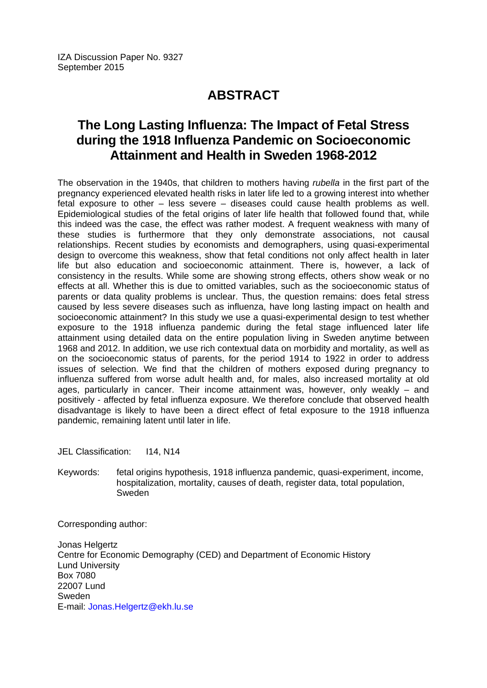# **ABSTRACT**

# **The Long Lasting Influenza: The Impact of Fetal Stress during the 1918 Influenza Pandemic on Socioeconomic Attainment and Health in Sweden 1968-2012**

The observation in the 1940s, that children to mothers having *rubella* in the first part of the pregnancy experienced elevated health risks in later life led to a growing interest into whether fetal exposure to other – less severe – diseases could cause health problems as well. Epidemiological studies of the fetal origins of later life health that followed found that, while this indeed was the case, the effect was rather modest. A frequent weakness with many of these studies is furthermore that they only demonstrate associations, not causal relationships. Recent studies by economists and demographers, using quasi-experimental design to overcome this weakness, show that fetal conditions not only affect health in later life but also education and socioeconomic attainment. There is, however, a lack of consistency in the results. While some are showing strong effects, others show weak or no effects at all. Whether this is due to omitted variables, such as the socioeconomic status of parents or data quality problems is unclear. Thus, the question remains: does fetal stress caused by less severe diseases such as influenza, have long lasting impact on health and socioeconomic attainment? In this study we use a quasi-experimental design to test whether exposure to the 1918 influenza pandemic during the fetal stage influenced later life attainment using detailed data on the entire population living in Sweden anytime between 1968 and 2012. In addition, we use rich contextual data on morbidity and mortality, as well as on the socioeconomic status of parents, for the period 1914 to 1922 in order to address issues of selection. We find that the children of mothers exposed during pregnancy to influenza suffered from worse adult health and, for males, also increased mortality at old ages, particularly in cancer. Their income attainment was, however, only weakly – and positively - affected by fetal influenza exposure. We therefore conclude that observed health disadvantage is likely to have been a direct effect of fetal exposure to the 1918 influenza pandemic, remaining latent until later in life.

JEL Classification: I14, N14

Keywords: fetal origins hypothesis, 1918 influenza pandemic, quasi-experiment, income, hospitalization, mortality, causes of death, register data, total population, Sweden

Corresponding author:

Jonas Helgertz Centre for Economic Demography (CED) and Department of Economic History Lund University Box 7080 22007 Lund Sweden E-mail: Jonas.Helgertz@ekh.lu.se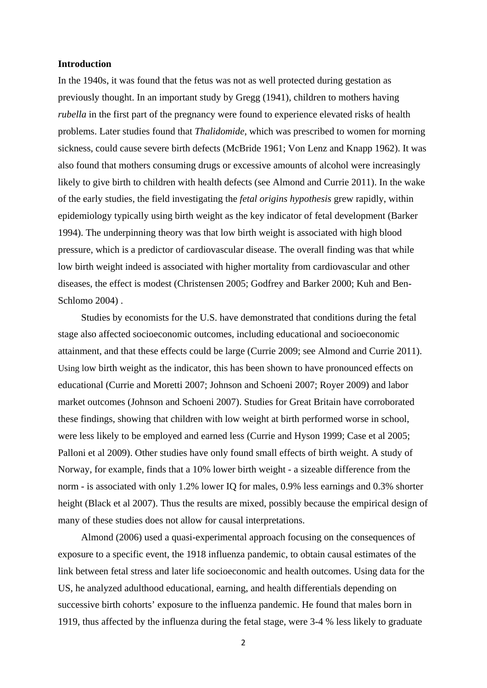#### **Introduction**

In the 1940s, it was found that the fetus was not as well protected during gestation as previously thought. In an important study by Gregg (1941), children to mothers having *rubella* in the first part of the pregnancy were found to experience elevated risks of health problems. Later studies found that *Thalidomide*, which was prescribed to women for morning sickness, could cause severe birth defects (McBride 1961; Von Lenz and Knapp 1962). It was also found that mothers consuming drugs or excessive amounts of alcohol were increasingly likely to give birth to children with health defects (see Almond and Currie 2011). In the wake of the early studies, the field investigating the *fetal origins hypothesis* grew rapidly, within epidemiology typically using birth weight as the key indicator of fetal development (Barker 1994). The underpinning theory was that low birth weight is associated with high blood pressure, which is a predictor of cardiovascular disease. The overall finding was that while low birth weight indeed is associated with higher mortality from cardiovascular and other diseases, the effect is modest (Christensen 2005; Godfrey and Barker 2000; Kuh and Ben-Schlomo 2004).

 Studies by economists for the U.S. have demonstrated that conditions during the fetal stage also affected socioeconomic outcomes, including educational and socioeconomic attainment, and that these effects could be large (Currie 2009; see Almond and Currie 2011). Using low birth weight as the indicator, this has been shown to have pronounced effects on educational (Currie and Moretti 2007; Johnson and Schoeni 2007; Royer 2009) and labor market outcomes (Johnson and Schoeni 2007). Studies for Great Britain have corroborated these findings, showing that children with low weight at birth performed worse in school, were less likely to be employed and earned less (Currie and Hyson 1999; Case et al 2005; Palloni et al 2009). Other studies have only found small effects of birth weight. A study of Norway, for example, finds that a 10% lower birth weight - a sizeable difference from the norm - is associated with only 1.2% lower IQ for males, 0.9% less earnings and 0.3% shorter height (Black et al 2007). Thus the results are mixed, possibly because the empirical design of many of these studies does not allow for causal interpretations.

 Almond (2006) used a quasi-experimental approach focusing on the consequences of exposure to a specific event, the 1918 influenza pandemic, to obtain causal estimates of the link between fetal stress and later life socioeconomic and health outcomes. Using data for the US, he analyzed adulthood educational, earning, and health differentials depending on successive birth cohorts' exposure to the influenza pandemic. He found that males born in 1919, thus affected by the influenza during the fetal stage, were 3-4 % less likely to graduate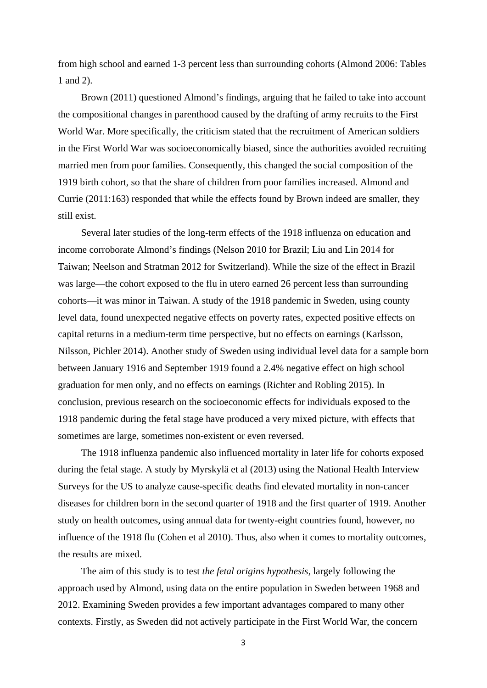from high school and earned 1-3 percent less than surrounding cohorts (Almond 2006: Tables 1 and 2).

 Brown (2011) questioned Almond's findings, arguing that he failed to take into account the compositional changes in parenthood caused by the drafting of army recruits to the First World War. More specifically, the criticism stated that the recruitment of American soldiers in the First World War was socioeconomically biased, since the authorities avoided recruiting married men from poor families. Consequently, this changed the social composition of the 1919 birth cohort, so that the share of children from poor families increased. Almond and Currie (2011:163) responded that while the effects found by Brown indeed are smaller, they still exist.

 Several later studies of the long-term effects of the 1918 influenza on education and income corroborate Almond's findings (Nelson 2010 for Brazil; Liu and Lin 2014 for Taiwan; Neelson and Stratman 2012 for Switzerland). While the size of the effect in Brazil was large—the cohort exposed to the flu in utero earned 26 percent less than surrounding cohorts—it was minor in Taiwan. A study of the 1918 pandemic in Sweden, using county level data, found unexpected negative effects on poverty rates, expected positive effects on capital returns in a medium-term time perspective, but no effects on earnings (Karlsson, Nilsson, Pichler 2014). Another study of Sweden using individual level data for a sample born between January 1916 and September 1919 found a 2.4% negative effect on high school graduation for men only, and no effects on earnings (Richter and Robling 2015). In conclusion, previous research on the socioeconomic effects for individuals exposed to the 1918 pandemic during the fetal stage have produced a very mixed picture, with effects that sometimes are large, sometimes non-existent or even reversed.

 The 1918 influenza pandemic also influenced mortality in later life for cohorts exposed during the fetal stage. A study by Myrskylä et al (2013) using the National Health Interview Surveys for the US to analyze cause-specific deaths find elevated mortality in non-cancer diseases for children born in the second quarter of 1918 and the first quarter of 1919. Another study on health outcomes, using annual data for twenty-eight countries found, however, no influence of the 1918 flu (Cohen et al 2010). Thus, also when it comes to mortality outcomes, the results are mixed.

 The aim of this study is to test *the fetal origins hypothesis,* largely following the approach used by Almond, using data on the entire population in Sweden between 1968 and 2012. Examining Sweden provides a few important advantages compared to many other contexts. Firstly, as Sweden did not actively participate in the First World War, the concern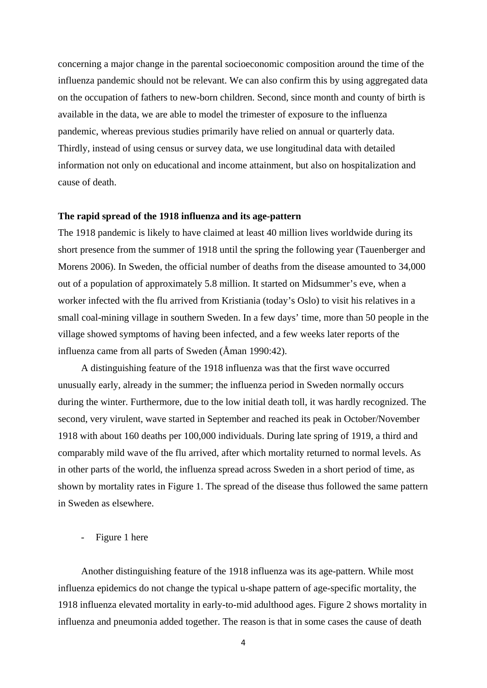concerning a major change in the parental socioeconomic composition around the time of the influenza pandemic should not be relevant. We can also confirm this by using aggregated data on the occupation of fathers to new-born children. Second, since month and county of birth is available in the data, we are able to model the trimester of exposure to the influenza pandemic, whereas previous studies primarily have relied on annual or quarterly data. Thirdly, instead of using census or survey data, we use longitudinal data with detailed information not only on educational and income attainment, but also on hospitalization and cause of death.

#### **The rapid spread of the 1918 influenza and its age-pattern**

The 1918 pandemic is likely to have claimed at least 40 million lives worldwide during its short presence from the summer of 1918 until the spring the following year (Tauenberger and Morens 2006). In Sweden, the official number of deaths from the disease amounted to 34,000 out of a population of approximately 5.8 million. It started on Midsummer's eve, when a worker infected with the flu arrived from Kristiania (today's Oslo) to visit his relatives in a small coal-mining village in southern Sweden. In a few days' time, more than 50 people in the village showed symptoms of having been infected, and a few weeks later reports of the influenza came from all parts of Sweden (Åman 1990:42).

 A distinguishing feature of the 1918 influenza was that the first wave occurred unusually early, already in the summer; the influenza period in Sweden normally occurs during the winter. Furthermore, due to the low initial death toll, it was hardly recognized. The second, very virulent, wave started in September and reached its peak in October/November 1918 with about 160 deaths per 100,000 individuals. During late spring of 1919, a third and comparably mild wave of the flu arrived, after which mortality returned to normal levels. As in other parts of the world, the influenza spread across Sweden in a short period of time, as shown by mortality rates in Figure 1. The spread of the disease thus followed the same pattern in Sweden as elsewhere.

#### - Figure 1 here

 Another distinguishing feature of the 1918 influenza was its age-pattern. While most influenza epidemics do not change the typical u-shape pattern of age-specific mortality, the 1918 influenza elevated mortality in early-to-mid adulthood ages. Figure 2 shows mortality in influenza and pneumonia added together. The reason is that in some cases the cause of death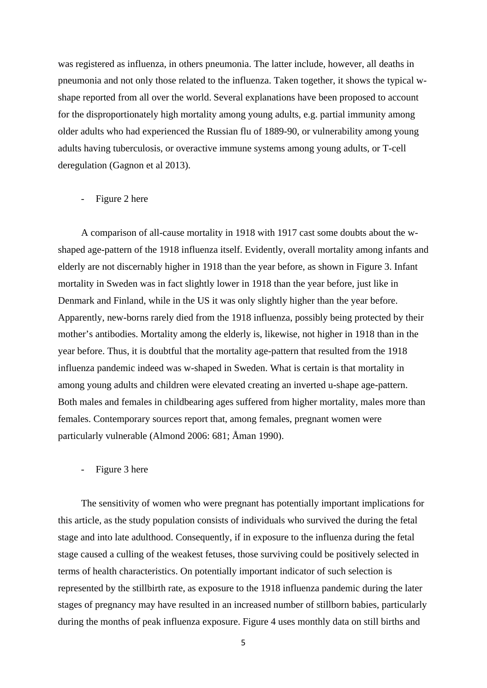was registered as influenza, in others pneumonia. The latter include, however, all deaths in pneumonia and not only those related to the influenza. Taken together, it shows the typical wshape reported from all over the world. Several explanations have been proposed to account for the disproportionately high mortality among young adults, e.g. partial immunity among older adults who had experienced the Russian flu of 1889-90, or vulnerability among young adults having tuberculosis, or overactive immune systems among young adults, or T-cell deregulation (Gagnon et al 2013).

#### Figure 2 here

 A comparison of all-cause mortality in 1918 with 1917 cast some doubts about the wshaped age-pattern of the 1918 influenza itself. Evidently, overall mortality among infants and elderly are not discernably higher in 1918 than the year before, as shown in Figure 3. Infant mortality in Sweden was in fact slightly lower in 1918 than the year before, just like in Denmark and Finland, while in the US it was only slightly higher than the year before. Apparently, new-borns rarely died from the 1918 influenza, possibly being protected by their mother's antibodies. Mortality among the elderly is, likewise, not higher in 1918 than in the year before. Thus, it is doubtful that the mortality age-pattern that resulted from the 1918 influenza pandemic indeed was w-shaped in Sweden. What is certain is that mortality in among young adults and children were elevated creating an inverted u-shape age-pattern. Both males and females in childbearing ages suffered from higher mortality, males more than females. Contemporary sources report that, among females, pregnant women were particularly vulnerable (Almond 2006: 681; Åman 1990).

- Figure 3 here

 The sensitivity of women who were pregnant has potentially important implications for this article, as the study population consists of individuals who survived the during the fetal stage and into late adulthood. Consequently, if in exposure to the influenza during the fetal stage caused a culling of the weakest fetuses, those surviving could be positively selected in terms of health characteristics. On potentially important indicator of such selection is represented by the stillbirth rate, as exposure to the 1918 influenza pandemic during the later stages of pregnancy may have resulted in an increased number of stillborn babies, particularly during the months of peak influenza exposure. Figure 4 uses monthly data on still births and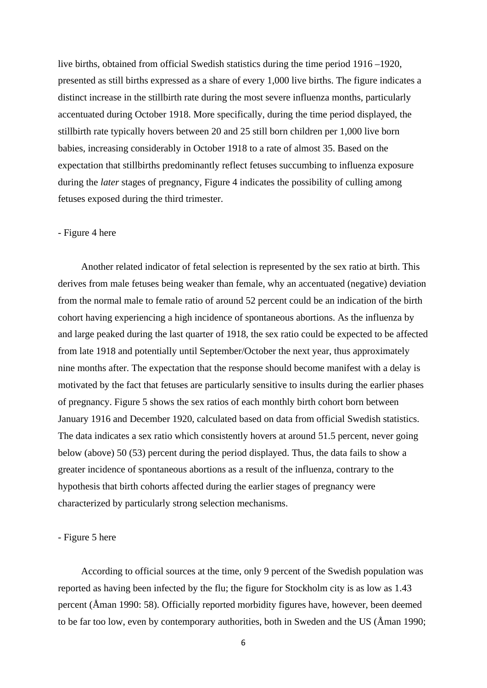live births, obtained from official Swedish statistics during the time period 1916 –1920, presented as still births expressed as a share of every 1,000 live births. The figure indicates a distinct increase in the stillbirth rate during the most severe influenza months, particularly accentuated during October 1918. More specifically, during the time period displayed, the stillbirth rate typically hovers between 20 and 25 still born children per 1,000 live born babies, increasing considerably in October 1918 to a rate of almost 35. Based on the expectation that stillbirths predominantly reflect fetuses succumbing to influenza exposure during the *later* stages of pregnancy, Figure 4 indicates the possibility of culling among fetuses exposed during the third trimester.

#### - Figure 4 here

 Another related indicator of fetal selection is represented by the sex ratio at birth. This derives from male fetuses being weaker than female, why an accentuated (negative) deviation from the normal male to female ratio of around 52 percent could be an indication of the birth cohort having experiencing a high incidence of spontaneous abortions. As the influenza by and large peaked during the last quarter of 1918, the sex ratio could be expected to be affected from late 1918 and potentially until September/October the next year, thus approximately nine months after. The expectation that the response should become manifest with a delay is motivated by the fact that fetuses are particularly sensitive to insults during the earlier phases of pregnancy. Figure 5 shows the sex ratios of each monthly birth cohort born between January 1916 and December 1920, calculated based on data from official Swedish statistics. The data indicates a sex ratio which consistently hovers at around 51.5 percent, never going below (above) 50 (53) percent during the period displayed. Thus, the data fails to show a greater incidence of spontaneous abortions as a result of the influenza, contrary to the hypothesis that birth cohorts affected during the earlier stages of pregnancy were characterized by particularly strong selection mechanisms.

#### - Figure 5 here

 According to official sources at the time, only 9 percent of the Swedish population was reported as having been infected by the flu; the figure for Stockholm city is as low as 1.43 percent (Åman 1990: 58). Officially reported morbidity figures have, however, been deemed to be far too low, even by contemporary authorities, both in Sweden and the US (Åman 1990;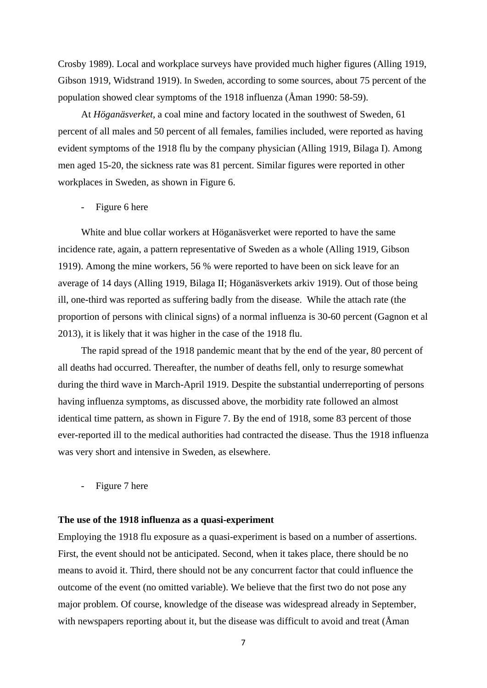Crosby 1989). Local and workplace surveys have provided much higher figures (Alling 1919, Gibson 1919, Widstrand 1919). In Sweden, according to some sources, about 75 percent of the population showed clear symptoms of the 1918 influenza (Åman 1990: 58-59).

 At *Höganäsverket*, a coal mine and factory located in the southwest of Sweden, 61 percent of all males and 50 percent of all females, families included, were reported as having evident symptoms of the 1918 flu by the company physician (Alling 1919, Bilaga I). Among men aged 15-20, the sickness rate was 81 percent. Similar figures were reported in other workplaces in Sweden, as shown in Figure 6.

#### - Figure 6 here

 White and blue collar workers at Höganäsverket were reported to have the same incidence rate, again, a pattern representative of Sweden as a whole (Alling 1919, Gibson 1919). Among the mine workers, 56 % were reported to have been on sick leave for an average of 14 days (Alling 1919, Bilaga II; Höganäsverkets arkiv 1919). Out of those being ill, one-third was reported as suffering badly from the disease. While the attach rate (the proportion of persons with clinical signs) of a normal influenza is 30-60 percent (Gagnon et al 2013), it is likely that it was higher in the case of the 1918 flu.

 The rapid spread of the 1918 pandemic meant that by the end of the year, 80 percent of all deaths had occurred. Thereafter, the number of deaths fell, only to resurge somewhat during the third wave in March-April 1919. Despite the substantial underreporting of persons having influenza symptoms, as discussed above, the morbidity rate followed an almost identical time pattern, as shown in Figure 7. By the end of 1918, some 83 percent of those ever-reported ill to the medical authorities had contracted the disease. Thus the 1918 influenza was very short and intensive in Sweden, as elsewhere.

Figure 7 here

#### **The use of the 1918 influenza as a quasi-experiment**

Employing the 1918 flu exposure as a quasi-experiment is based on a number of assertions. First, the event should not be anticipated. Second, when it takes place, there should be no means to avoid it. Third, there should not be any concurrent factor that could influence the outcome of the event (no omitted variable). We believe that the first two do not pose any major problem. Of course, knowledge of the disease was widespread already in September, with newspapers reporting about it, but the disease was difficult to avoid and treat (Åman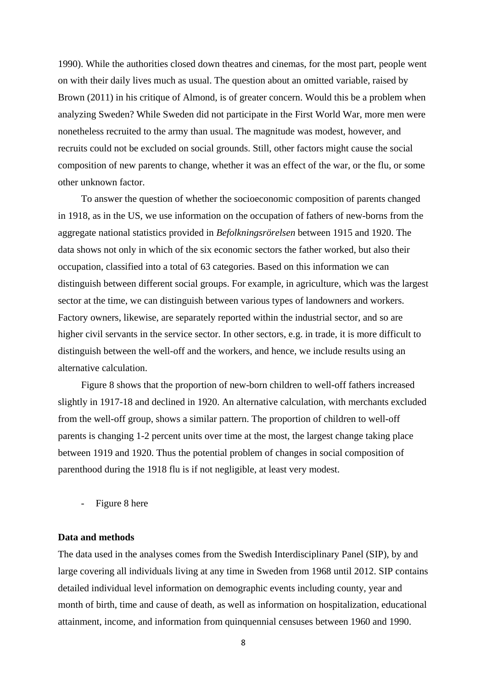1990). While the authorities closed down theatres and cinemas, for the most part, people went on with their daily lives much as usual. The question about an omitted variable, raised by Brown (2011) in his critique of Almond, is of greater concern. Would this be a problem when analyzing Sweden? While Sweden did not participate in the First World War, more men were nonetheless recruited to the army than usual. The magnitude was modest, however, and recruits could not be excluded on social grounds. Still, other factors might cause the social composition of new parents to change, whether it was an effect of the war, or the flu, or some other unknown factor.

 To answer the question of whether the socioeconomic composition of parents changed in 1918, as in the US, we use information on the occupation of fathers of new-borns from the aggregate national statistics provided in *Befolkningsrörelsen* between 1915 and 1920. The data shows not only in which of the six economic sectors the father worked, but also their occupation, classified into a total of 63 categories. Based on this information we can distinguish between different social groups. For example, in agriculture, which was the largest sector at the time, we can distinguish between various types of landowners and workers. Factory owners, likewise, are separately reported within the industrial sector, and so are higher civil servants in the service sector. In other sectors, e.g. in trade, it is more difficult to distinguish between the well-off and the workers, and hence, we include results using an alternative calculation.

 Figure 8 shows that the proportion of new-born children to well-off fathers increased slightly in 1917-18 and declined in 1920. An alternative calculation, with merchants excluded from the well-off group, shows a similar pattern. The proportion of children to well-off parents is changing 1-2 percent units over time at the most, the largest change taking place between 1919 and 1920. Thus the potential problem of changes in social composition of parenthood during the 1918 flu is if not negligible, at least very modest.

- Figure 8 here

#### **Data and methods**

The data used in the analyses comes from the Swedish Interdisciplinary Panel (SIP), by and large covering all individuals living at any time in Sweden from 1968 until 2012. SIP contains detailed individual level information on demographic events including county, year and month of birth, time and cause of death, as well as information on hospitalization, educational attainment, income, and information from quinquennial censuses between 1960 and 1990.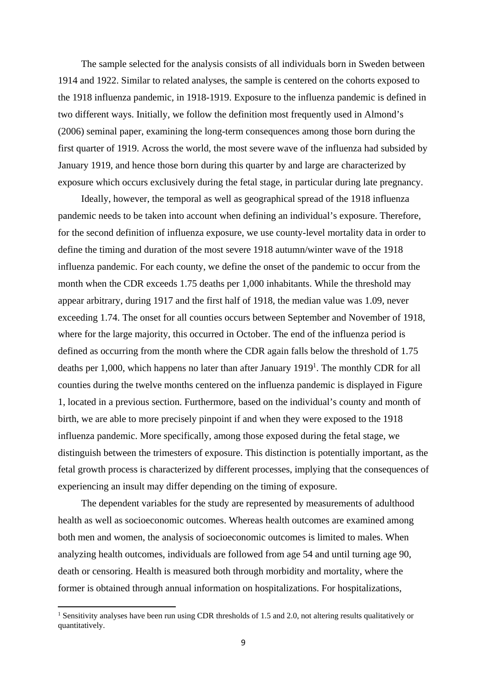The sample selected for the analysis consists of all individuals born in Sweden between 1914 and 1922. Similar to related analyses, the sample is centered on the cohorts exposed to the 1918 influenza pandemic, in 1918-1919. Exposure to the influenza pandemic is defined in two different ways. Initially, we follow the definition most frequently used in Almond's (2006) seminal paper, examining the long-term consequences among those born during the first quarter of 1919. Across the world, the most severe wave of the influenza had subsided by January 1919, and hence those born during this quarter by and large are characterized by exposure which occurs exclusively during the fetal stage, in particular during late pregnancy.

 Ideally, however, the temporal as well as geographical spread of the 1918 influenza pandemic needs to be taken into account when defining an individual's exposure. Therefore, for the second definition of influenza exposure, we use county-level mortality data in order to define the timing and duration of the most severe 1918 autumn/winter wave of the 1918 influenza pandemic. For each county, we define the onset of the pandemic to occur from the month when the CDR exceeds 1.75 deaths per 1,000 inhabitants. While the threshold may appear arbitrary, during 1917 and the first half of 1918, the median value was 1.09, never exceeding 1.74. The onset for all counties occurs between September and November of 1918, where for the large majority, this occurred in October. The end of the influenza period is defined as occurring from the month where the CDR again falls below the threshold of 1.75 deaths per 1,000, which happens no later than after January 1919<sup>1</sup>. The monthly CDR for all counties during the twelve months centered on the influenza pandemic is displayed in Figure 1, located in a previous section. Furthermore, based on the individual's county and month of birth, we are able to more precisely pinpoint if and when they were exposed to the 1918 influenza pandemic. More specifically, among those exposed during the fetal stage, we distinguish between the trimesters of exposure. This distinction is potentially important, as the fetal growth process is characterized by different processes, implying that the consequences of experiencing an insult may differ depending on the timing of exposure.

 The dependent variables for the study are represented by measurements of adulthood health as well as socioeconomic outcomes. Whereas health outcomes are examined among both men and women, the analysis of socioeconomic outcomes is limited to males. When analyzing health outcomes, individuals are followed from age 54 and until turning age 90, death or censoring. Health is measured both through morbidity and mortality, where the former is obtained through annual information on hospitalizations. For hospitalizations,

<sup>&</sup>lt;sup>1</sup> Sensitivity analyses have been run using CDR thresholds of 1.5 and 2.0, not altering results qualitatively or quantitatively.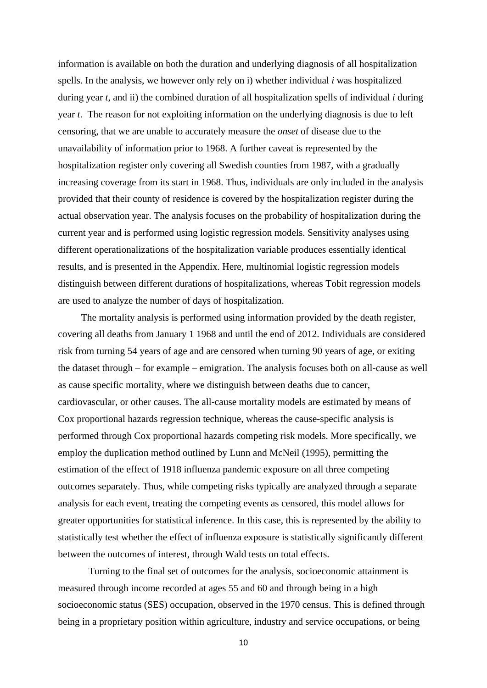information is available on both the duration and underlying diagnosis of all hospitalization spells. In the analysis, we however only rely on i) whether individual *i* was hospitalized during year *t*, and ii) the combined duration of all hospitalization spells of individual *i* during year *t*. The reason for not exploiting information on the underlying diagnosis is due to left censoring, that we are unable to accurately measure the *onset* of disease due to the unavailability of information prior to 1968. A further caveat is represented by the hospitalization register only covering all Swedish counties from 1987, with a gradually increasing coverage from its start in 1968. Thus, individuals are only included in the analysis provided that their county of residence is covered by the hospitalization register during the actual observation year. The analysis focuses on the probability of hospitalization during the current year and is performed using logistic regression models. Sensitivity analyses using different operationalizations of the hospitalization variable produces essentially identical results, and is presented in the Appendix. Here, multinomial logistic regression models distinguish between different durations of hospitalizations, whereas Tobit regression models are used to analyze the number of days of hospitalization.

 The mortality analysis is performed using information provided by the death register, covering all deaths from January 1 1968 and until the end of 2012. Individuals are considered risk from turning 54 years of age and are censored when turning 90 years of age, or exiting the dataset through – for example – emigration. The analysis focuses both on all-cause as well as cause specific mortality, where we distinguish between deaths due to cancer, cardiovascular, or other causes. The all-cause mortality models are estimated by means of Cox proportional hazards regression technique, whereas the cause-specific analysis is performed through Cox proportional hazards competing risk models. More specifically, we employ the duplication method outlined by Lunn and McNeil (1995), permitting the estimation of the effect of 1918 influenza pandemic exposure on all three competing outcomes separately. Thus, while competing risks typically are analyzed through a separate analysis for each event, treating the competing events as censored, this model allows for greater opportunities for statistical inference. In this case, this is represented by the ability to statistically test whether the effect of influenza exposure is statistically significantly different between the outcomes of interest, through Wald tests on total effects.

 Turning to the final set of outcomes for the analysis, socioeconomic attainment is measured through income recorded at ages 55 and 60 and through being in a high socioeconomic status (SES) occupation, observed in the 1970 census. This is defined through being in a proprietary position within agriculture, industry and service occupations, or being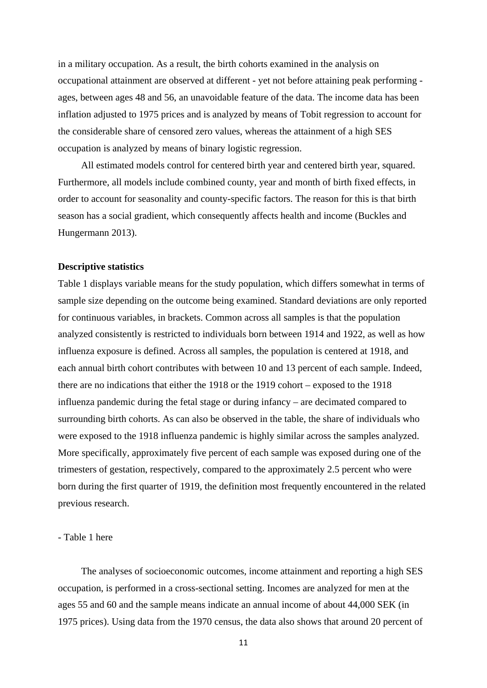in a military occupation. As a result, the birth cohorts examined in the analysis on occupational attainment are observed at different - yet not before attaining peak performing ages, between ages 48 and 56, an unavoidable feature of the data. The income data has been inflation adjusted to 1975 prices and is analyzed by means of Tobit regression to account for the considerable share of censored zero values, whereas the attainment of a high SES occupation is analyzed by means of binary logistic regression.

 All estimated models control for centered birth year and centered birth year, squared. Furthermore, all models include combined county, year and month of birth fixed effects, in order to account for seasonality and county-specific factors. The reason for this is that birth season has a social gradient, which consequently affects health and income (Buckles and Hungermann 2013).

#### **Descriptive statistics**

Table 1 displays variable means for the study population, which differs somewhat in terms of sample size depending on the outcome being examined. Standard deviations are only reported for continuous variables, in brackets. Common across all samples is that the population analyzed consistently is restricted to individuals born between 1914 and 1922, as well as how influenza exposure is defined. Across all samples, the population is centered at 1918, and each annual birth cohort contributes with between 10 and 13 percent of each sample. Indeed, there are no indications that either the 1918 or the 1919 cohort – exposed to the 1918 influenza pandemic during the fetal stage or during infancy – are decimated compared to surrounding birth cohorts. As can also be observed in the table, the share of individuals who were exposed to the 1918 influenza pandemic is highly similar across the samples analyzed. More specifically, approximately five percent of each sample was exposed during one of the trimesters of gestation, respectively, compared to the approximately 2.5 percent who were born during the first quarter of 1919, the definition most frequently encountered in the related previous research.

#### - Table 1 here

 The analyses of socioeconomic outcomes, income attainment and reporting a high SES occupation, is performed in a cross-sectional setting. Incomes are analyzed for men at the ages 55 and 60 and the sample means indicate an annual income of about 44,000 SEK (in 1975 prices). Using data from the 1970 census, the data also shows that around 20 percent of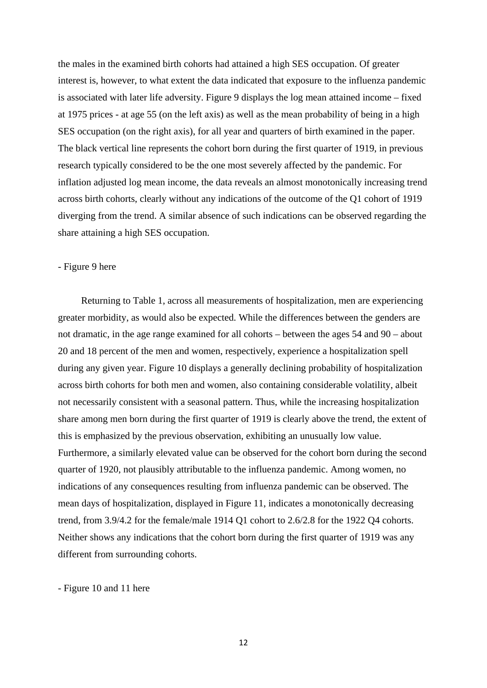the males in the examined birth cohorts had attained a high SES occupation. Of greater interest is, however, to what extent the data indicated that exposure to the influenza pandemic is associated with later life adversity. Figure 9 displays the log mean attained income – fixed at 1975 prices - at age 55 (on the left axis) as well as the mean probability of being in a high SES occupation (on the right axis), for all year and quarters of birth examined in the paper. The black vertical line represents the cohort born during the first quarter of 1919, in previous research typically considered to be the one most severely affected by the pandemic. For inflation adjusted log mean income, the data reveals an almost monotonically increasing trend across birth cohorts, clearly without any indications of the outcome of the Q1 cohort of 1919 diverging from the trend. A similar absence of such indications can be observed regarding the share attaining a high SES occupation.

#### - Figure 9 here

 Returning to Table 1, across all measurements of hospitalization, men are experiencing greater morbidity, as would also be expected. While the differences between the genders are not dramatic, in the age range examined for all cohorts – between the ages 54 and 90 – about 20 and 18 percent of the men and women, respectively, experience a hospitalization spell during any given year. Figure 10 displays a generally declining probability of hospitalization across birth cohorts for both men and women, also containing considerable volatility, albeit not necessarily consistent with a seasonal pattern. Thus, while the increasing hospitalization share among men born during the first quarter of 1919 is clearly above the trend, the extent of this is emphasized by the previous observation, exhibiting an unusually low value. Furthermore, a similarly elevated value can be observed for the cohort born during the second quarter of 1920, not plausibly attributable to the influenza pandemic. Among women, no indications of any consequences resulting from influenza pandemic can be observed. The mean days of hospitalization, displayed in Figure 11, indicates a monotonically decreasing trend, from 3.9/4.2 for the female/male 1914 Q1 cohort to 2.6/2.8 for the 1922 Q4 cohorts. Neither shows any indications that the cohort born during the first quarter of 1919 was any different from surrounding cohorts.

- Figure 10 and 11 here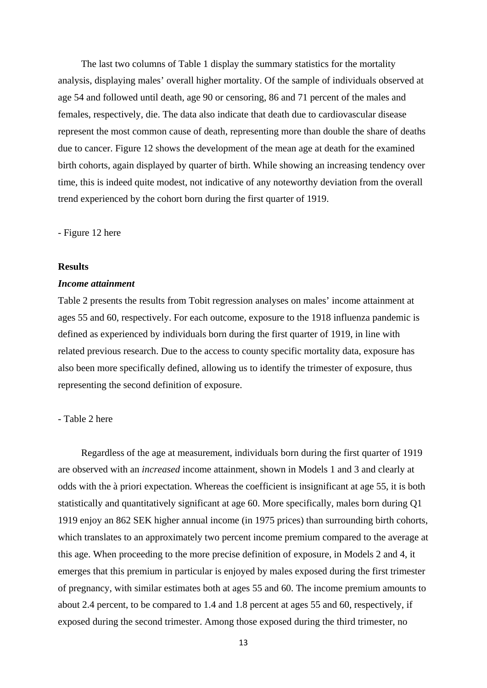The last two columns of Table 1 display the summary statistics for the mortality analysis, displaying males' overall higher mortality. Of the sample of individuals observed at age 54 and followed until death, age 90 or censoring, 86 and 71 percent of the males and females, respectively, die. The data also indicate that death due to cardiovascular disease represent the most common cause of death, representing more than double the share of deaths due to cancer. Figure 12 shows the development of the mean age at death for the examined birth cohorts, again displayed by quarter of birth. While showing an increasing tendency over time, this is indeed quite modest, not indicative of any noteworthy deviation from the overall trend experienced by the cohort born during the first quarter of 1919.

- Figure 12 here

#### **Results**

#### *Income attainment*

Table 2 presents the results from Tobit regression analyses on males' income attainment at ages 55 and 60, respectively. For each outcome, exposure to the 1918 influenza pandemic is defined as experienced by individuals born during the first quarter of 1919, in line with related previous research. Due to the access to county specific mortality data, exposure has also been more specifically defined, allowing us to identify the trimester of exposure, thus representing the second definition of exposure.

#### - Table 2 here

 Regardless of the age at measurement, individuals born during the first quarter of 1919 are observed with an *increased* income attainment, shown in Models 1 and 3 and clearly at odds with the à priori expectation. Whereas the coefficient is insignificant at age 55, it is both statistically and quantitatively significant at age 60. More specifically, males born during Q1 1919 enjoy an 862 SEK higher annual income (in 1975 prices) than surrounding birth cohorts, which translates to an approximately two percent income premium compared to the average at this age. When proceeding to the more precise definition of exposure, in Models 2 and 4, it emerges that this premium in particular is enjoyed by males exposed during the first trimester of pregnancy, with similar estimates both at ages 55 and 60. The income premium amounts to about 2.4 percent, to be compared to 1.4 and 1.8 percent at ages 55 and 60, respectively, if exposed during the second trimester. Among those exposed during the third trimester, no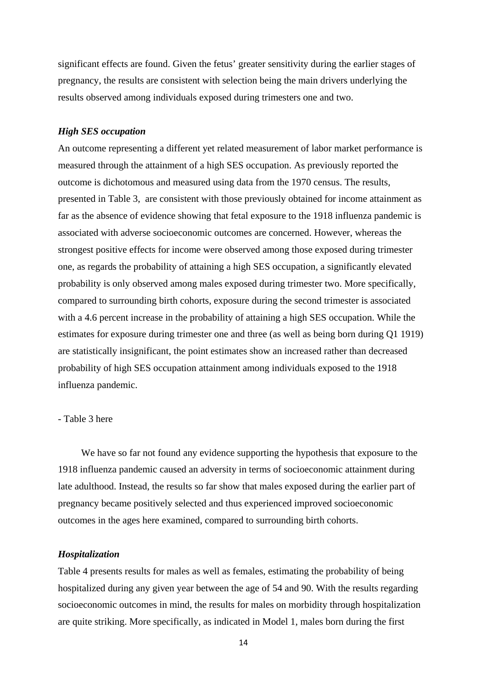significant effects are found. Given the fetus' greater sensitivity during the earlier stages of pregnancy, the results are consistent with selection being the main drivers underlying the results observed among individuals exposed during trimesters one and two.

#### *High SES occupation*

An outcome representing a different yet related measurement of labor market performance is measured through the attainment of a high SES occupation. As previously reported the outcome is dichotomous and measured using data from the 1970 census. The results, presented in Table 3, are consistent with those previously obtained for income attainment as far as the absence of evidence showing that fetal exposure to the 1918 influenza pandemic is associated with adverse socioeconomic outcomes are concerned. However, whereas the strongest positive effects for income were observed among those exposed during trimester one, as regards the probability of attaining a high SES occupation, a significantly elevated probability is only observed among males exposed during trimester two. More specifically, compared to surrounding birth cohorts, exposure during the second trimester is associated with a 4.6 percent increase in the probability of attaining a high SES occupation. While the estimates for exposure during trimester one and three (as well as being born during Q1 1919) are statistically insignificant, the point estimates show an increased rather than decreased probability of high SES occupation attainment among individuals exposed to the 1918 influenza pandemic.

#### - Table 3 here

 We have so far not found any evidence supporting the hypothesis that exposure to the 1918 influenza pandemic caused an adversity in terms of socioeconomic attainment during late adulthood. Instead, the results so far show that males exposed during the earlier part of pregnancy became positively selected and thus experienced improved socioeconomic outcomes in the ages here examined, compared to surrounding birth cohorts.

#### *Hospitalization*

Table 4 presents results for males as well as females, estimating the probability of being hospitalized during any given year between the age of 54 and 90. With the results regarding socioeconomic outcomes in mind, the results for males on morbidity through hospitalization are quite striking. More specifically, as indicated in Model 1, males born during the first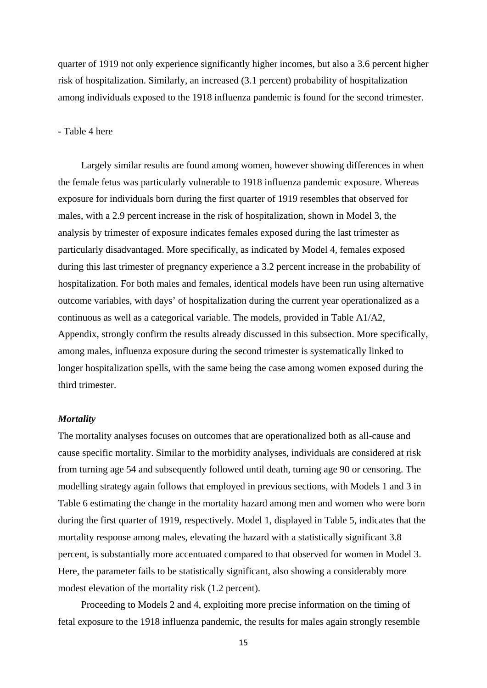quarter of 1919 not only experience significantly higher incomes, but also a 3.6 percent higher risk of hospitalization. Similarly, an increased (3.1 percent) probability of hospitalization among individuals exposed to the 1918 influenza pandemic is found for the second trimester.

#### - Table 4 here

 Largely similar results are found among women, however showing differences in when the female fetus was particularly vulnerable to 1918 influenza pandemic exposure. Whereas exposure for individuals born during the first quarter of 1919 resembles that observed for males, with a 2.9 percent increase in the risk of hospitalization, shown in Model 3, the analysis by trimester of exposure indicates females exposed during the last trimester as particularly disadvantaged. More specifically, as indicated by Model 4, females exposed during this last trimester of pregnancy experience a 3.2 percent increase in the probability of hospitalization. For both males and females, identical models have been run using alternative outcome variables, with days' of hospitalization during the current year operationalized as a continuous as well as a categorical variable. The models, provided in Table A1/A2, Appendix, strongly confirm the results already discussed in this subsection. More specifically, among males, influenza exposure during the second trimester is systematically linked to longer hospitalization spells, with the same being the case among women exposed during the third trimester.

#### *Mortality*

The mortality analyses focuses on outcomes that are operationalized both as all-cause and cause specific mortality. Similar to the morbidity analyses, individuals are considered at risk from turning age 54 and subsequently followed until death, turning age 90 or censoring. The modelling strategy again follows that employed in previous sections, with Models 1 and 3 in Table 6 estimating the change in the mortality hazard among men and women who were born during the first quarter of 1919, respectively. Model 1, displayed in Table 5, indicates that the mortality response among males, elevating the hazard with a statistically significant 3.8 percent, is substantially more accentuated compared to that observed for women in Model 3. Here, the parameter fails to be statistically significant, also showing a considerably more modest elevation of the mortality risk (1.2 percent).

 Proceeding to Models 2 and 4, exploiting more precise information on the timing of fetal exposure to the 1918 influenza pandemic, the results for males again strongly resemble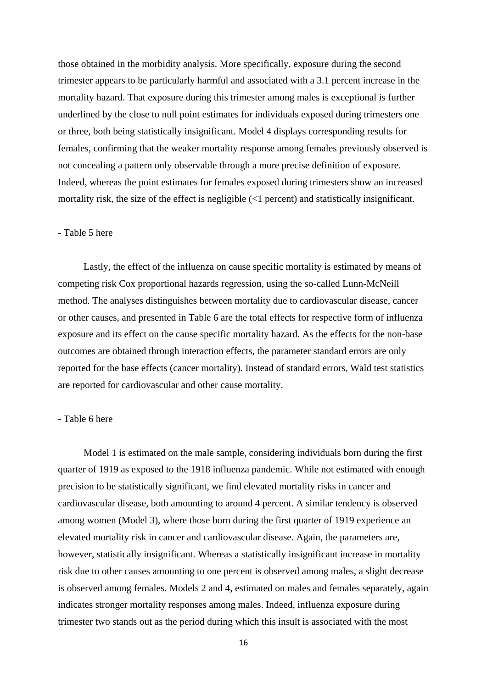those obtained in the morbidity analysis. More specifically, exposure during the second trimester appears to be particularly harmful and associated with a 3.1 percent increase in the mortality hazard. That exposure during this trimester among males is exceptional is further underlined by the close to null point estimates for individuals exposed during trimesters one or three, both being statistically insignificant. Model 4 displays corresponding results for females, confirming that the weaker mortality response among females previously observed is not concealing a pattern only observable through a more precise definition of exposure. Indeed, whereas the point estimates for females exposed during trimesters show an increased mortality risk, the size of the effect is negligible (<1 percent) and statistically insignificant.

#### - Table 5 here

 Lastly, the effect of the influenza on cause specific mortality is estimated by means of competing risk Cox proportional hazards regression, using the so-called Lunn-McNeill method. The analyses distinguishes between mortality due to cardiovascular disease, cancer or other causes, and presented in Table 6 are the total effects for respective form of influenza exposure and its effect on the cause specific mortality hazard. As the effects for the non-base outcomes are obtained through interaction effects, the parameter standard errors are only reported for the base effects (cancer mortality). Instead of standard errors, Wald test statistics are reported for cardiovascular and other cause mortality.

#### - Table 6 here

 Model 1 is estimated on the male sample, considering individuals born during the first quarter of 1919 as exposed to the 1918 influenza pandemic. While not estimated with enough precision to be statistically significant, we find elevated mortality risks in cancer and cardiovascular disease, both amounting to around 4 percent. A similar tendency is observed among women (Model 3), where those born during the first quarter of 1919 experience an elevated mortality risk in cancer and cardiovascular disease. Again, the parameters are, however, statistically insignificant. Whereas a statistically insignificant increase in mortality risk due to other causes amounting to one percent is observed among males, a slight decrease is observed among females. Models 2 and 4, estimated on males and females separately, again indicates stronger mortality responses among males. Indeed, influenza exposure during trimester two stands out as the period during which this insult is associated with the most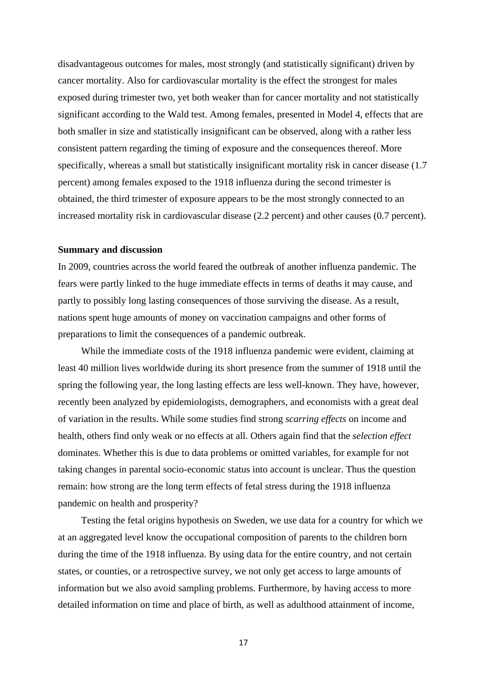disadvantageous outcomes for males, most strongly (and statistically significant) driven by cancer mortality. Also for cardiovascular mortality is the effect the strongest for males exposed during trimester two, yet both weaker than for cancer mortality and not statistically significant according to the Wald test. Among females, presented in Model 4, effects that are both smaller in size and statistically insignificant can be observed, along with a rather less consistent pattern regarding the timing of exposure and the consequences thereof. More specifically, whereas a small but statistically insignificant mortality risk in cancer disease (1.7 percent) among females exposed to the 1918 influenza during the second trimester is obtained, the third trimester of exposure appears to be the most strongly connected to an increased mortality risk in cardiovascular disease (2.2 percent) and other causes (0.7 percent).

#### **Summary and discussion**

In 2009, countries across the world feared the outbreak of another influenza pandemic. The fears were partly linked to the huge immediate effects in terms of deaths it may cause, and partly to possibly long lasting consequences of those surviving the disease. As a result, nations spent huge amounts of money on vaccination campaigns and other forms of preparations to limit the consequences of a pandemic outbreak.

 While the immediate costs of the 1918 influenza pandemic were evident, claiming at least 40 million lives worldwide during its short presence from the summer of 1918 until the spring the following year, the long lasting effects are less well-known. They have, however, recently been analyzed by epidemiologists, demographers, and economists with a great deal of variation in the results. While some studies find strong *scarring effects* on income and health, others find only weak or no effects at all. Others again find that the *selection effect* dominates. Whether this is due to data problems or omitted variables, for example for not taking changes in parental socio-economic status into account is unclear. Thus the question remain: how strong are the long term effects of fetal stress during the 1918 influenza pandemic on health and prosperity?

 Testing the fetal origins hypothesis on Sweden, we use data for a country for which we at an aggregated level know the occupational composition of parents to the children born during the time of the 1918 influenza. By using data for the entire country, and not certain states, or counties, or a retrospective survey, we not only get access to large amounts of information but we also avoid sampling problems. Furthermore, by having access to more detailed information on time and place of birth, as well as adulthood attainment of income,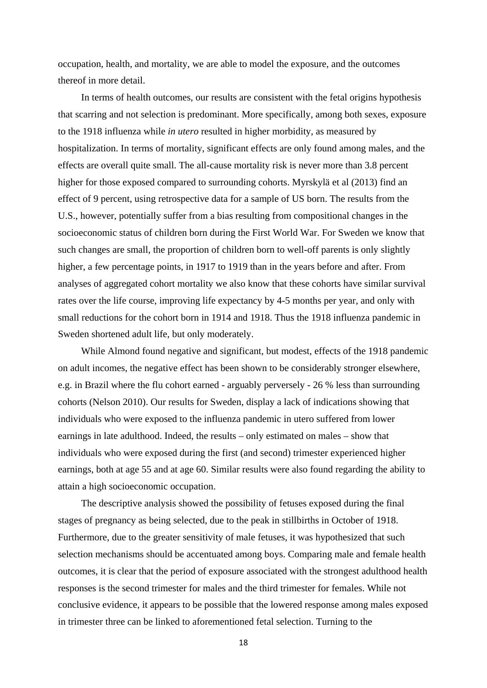occupation, health, and mortality, we are able to model the exposure, and the outcomes thereof in more detail.

 In terms of health outcomes, our results are consistent with the fetal origins hypothesis that scarring and not selection is predominant. More specifically, among both sexes, exposure to the 1918 influenza while *in utero* resulted in higher morbidity, as measured by hospitalization. In terms of mortality, significant effects are only found among males, and the effects are overall quite small. The all-cause mortality risk is never more than 3.8 percent higher for those exposed compared to surrounding cohorts. Myrskylä et al (2013) find an effect of 9 percent, using retrospective data for a sample of US born. The results from the U.S., however, potentially suffer from a bias resulting from compositional changes in the socioeconomic status of children born during the First World War. For Sweden we know that such changes are small, the proportion of children born to well-off parents is only slightly higher, a few percentage points, in 1917 to 1919 than in the years before and after. From analyses of aggregated cohort mortality we also know that these cohorts have similar survival rates over the life course, improving life expectancy by 4-5 months per year, and only with small reductions for the cohort born in 1914 and 1918. Thus the 1918 influenza pandemic in Sweden shortened adult life, but only moderately.

 While Almond found negative and significant, but modest, effects of the 1918 pandemic on adult incomes, the negative effect has been shown to be considerably stronger elsewhere, e.g. in Brazil where the flu cohort earned - arguably perversely - 26 % less than surrounding cohorts (Nelson 2010). Our results for Sweden, display a lack of indications showing that individuals who were exposed to the influenza pandemic in utero suffered from lower earnings in late adulthood. Indeed, the results – only estimated on males – show that individuals who were exposed during the first (and second) trimester experienced higher earnings, both at age 55 and at age 60. Similar results were also found regarding the ability to attain a high socioeconomic occupation.

 The descriptive analysis showed the possibility of fetuses exposed during the final stages of pregnancy as being selected, due to the peak in stillbirths in October of 1918. Furthermore, due to the greater sensitivity of male fetuses, it was hypothesized that such selection mechanisms should be accentuated among boys. Comparing male and female health outcomes, it is clear that the period of exposure associated with the strongest adulthood health responses is the second trimester for males and the third trimester for females. While not conclusive evidence, it appears to be possible that the lowered response among males exposed in trimester three can be linked to aforementioned fetal selection. Turning to the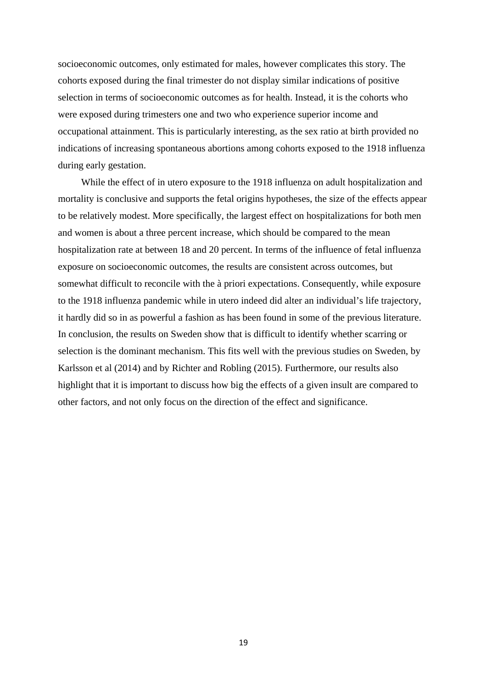socioeconomic outcomes, only estimated for males, however complicates this story. The cohorts exposed during the final trimester do not display similar indications of positive selection in terms of socioeconomic outcomes as for health. Instead, it is the cohorts who were exposed during trimesters one and two who experience superior income and occupational attainment. This is particularly interesting, as the sex ratio at birth provided no indications of increasing spontaneous abortions among cohorts exposed to the 1918 influenza during early gestation.

 While the effect of in utero exposure to the 1918 influenza on adult hospitalization and mortality is conclusive and supports the fetal origins hypotheses, the size of the effects appear to be relatively modest. More specifically, the largest effect on hospitalizations for both men and women is about a three percent increase, which should be compared to the mean hospitalization rate at between 18 and 20 percent. In terms of the influence of fetal influenza exposure on socioeconomic outcomes, the results are consistent across outcomes, but somewhat difficult to reconcile with the à priori expectations. Consequently, while exposure to the 1918 influenza pandemic while in utero indeed did alter an individual's life trajectory, it hardly did so in as powerful a fashion as has been found in some of the previous literature. In conclusion, the results on Sweden show that is difficult to identify whether scarring or selection is the dominant mechanism. This fits well with the previous studies on Sweden, by Karlsson et al (2014) and by Richter and Robling (2015). Furthermore, our results also highlight that it is important to discuss how big the effects of a given insult are compared to other factors, and not only focus on the direction of the effect and significance.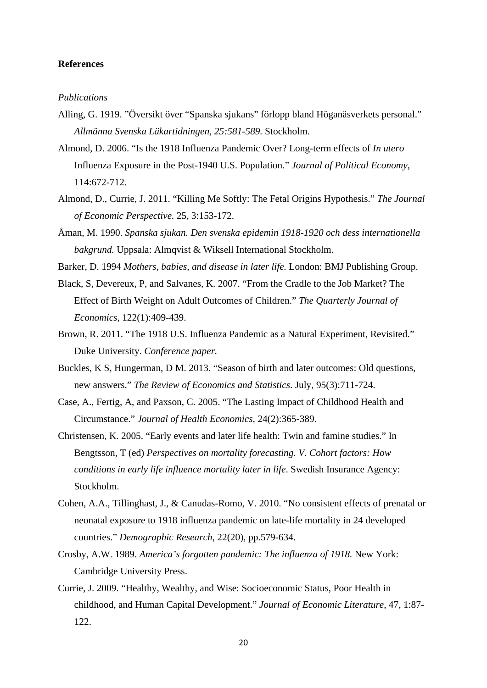#### **References**

*Publications* 

- Alling, G. 1919. "Översikt över "Spanska sjukans" förlopp bland Höganäsverkets personal." *Allmänna Svenska Läkartidningen, 25:581-589.* Stockholm.
- Almond, D. 2006. "Is the 1918 Influenza Pandemic Over? Long-term effects of *In utero* Influenza Exposure in the Post-1940 U.S. Population." *Journal of Political Economy,*  114:672-712.
- Almond, D., Currie, J. 2011. "Killing Me Softly: The Fetal Origins Hypothesis." *The Journal of Economic Perspective.* 25, 3:153-172.
- Åman, M. 1990. *Spanska sjukan. Den svenska epidemin 1918-1920 och dess internationella bakgrund.* Uppsala: Almqvist & Wiksell International Stockholm.

Barker, D. 1994 *Mothers, babies, and disease in later life.* London: BMJ Publishing Group.

- Black, S, Devereux, P, and Salvanes, K. 2007. "From the Cradle to the Job Market? The Effect of Birth Weight on Adult Outcomes of Children." *The Quarterly Journal of Economics,* 122(1):409-439.
- Brown, R. 2011. "The 1918 U.S. Influenza Pandemic as a Natural Experiment, Revisited." Duke University. *Conference paper.*
- Buckles, K S, Hungerman, D M. 2013. "Season of birth and later outcomes: Old questions, new answers." *The Review of Economics and Statistics*. July, 95(3):711-724.
- Case, A., Fertig, A, and Paxson, C. 2005. "The Lasting Impact of Childhood Health and Circumstance." *Journal of Health Economics*, 24(2):365-389.
- Christensen, K. 2005. "Early events and later life health: Twin and famine studies." In Bengtsson, T (ed) *Perspectives on mortality forecasting. V. Cohort factors: How conditions in early life influence mortality later in life*. Swedish Insurance Agency: Stockholm.
- Cohen, A.A., Tillinghast, J., & Canudas-Romo, V. 2010. "No consistent effects of prenatal or neonatal exposure to 1918 influenza pandemic on late-life mortality in 24 developed countries." *Demographic Research*, 22(20), pp.579-634.
- Crosby, A.W. 1989. *America's forgotten pandemic: The influenza of 1918.* New York: Cambridge University Press.
- Currie, J. 2009. "Healthy, Wealthy, and Wise: Socioeconomic Status, Poor Health in childhood, and Human Capital Development." *Journal of Economic Literature,* 47, 1:87- 122.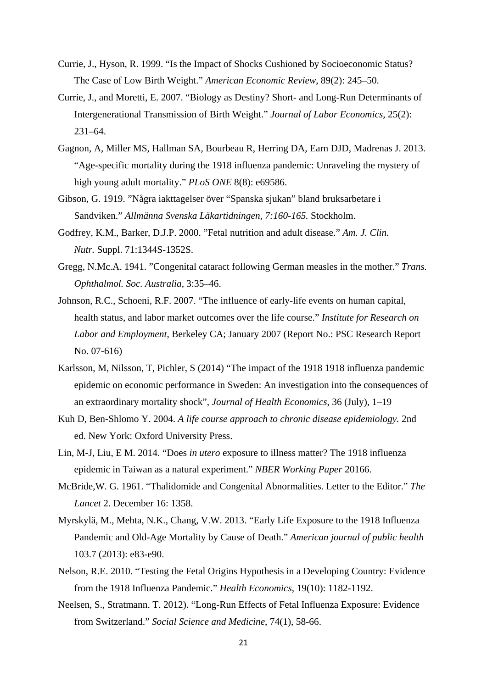- Currie, J., Hyson, R. 1999. "Is the Impact of Shocks Cushioned by Socioeconomic Status? The Case of Low Birth Weight." *American Economic Review*, 89(2): 245–50.
- Currie, J., and Moretti, E. 2007. "Biology as Destiny? Short- and Long-Run Determinants of Intergenerational Transmission of Birth Weight." *Journal of Labor Economics*, 25(2): 231–64.
- Gagnon, A, Miller MS, Hallman SA, Bourbeau R, Herring DA, Earn DJD, Madrenas J. 2013. "Age-specific mortality during the 1918 influenza pandemic: Unraveling the mystery of high young adult mortality." *PLoS ONE* 8(8): e69586.
- Gibson, G. 1919. "Några iakttagelser över "Spanska sjukan" bland bruksarbetare i Sandviken." *Allmänna Svenska Läkartidningen, 7:160-165.* Stockholm.
- Godfrey, K.M., Barker, D.J.P. 2000. "Fetal nutrition and adult disease." *Am. J. Clin. Nutr.* Suppl. 71:1344S-1352S.
- Gregg, N.Mc.A. 1941. "Congenital cataract following German measles in the mother." *Trans. Ophthalmol. Soc. Australia*, 3:35–46.
- Johnson, R.C., Schoeni, R.F. 2007. "The influence of early-life events on human capital, health status, and labor market outcomes over the life course." *Institute for Research on Labor and Employment*, Berkeley CA; January 2007 (Report No.: PSC Research Report No. 07-616)
- Karlsson, M, Nilsson, T, Pichler, S (2014) "The impact of the 1918 1918 influenza pandemic epidemic on economic performance in Sweden: An investigation into the consequences of an extraordinary mortality shock", *Journal of Health Economics*, 36 (July), 1–19
- Kuh D, Ben-Shlomo Y. 2004. *A life course approach to chronic disease epidemiology.* 2nd ed. New York: Oxford University Press.
- Lin, M-J, Liu, E M. 2014. "Does *in utero* exposure to illness matter? The 1918 influenza epidemic in Taiwan as a natural experiment." *NBER Working Paper* 20166.
- McBride,W. G. 1961. "Thalidomide and Congenital Abnormalities. Letter to the Editor." *The Lancet* 2. December 16: 1358.
- Myrskylä, M., Mehta, N.K., Chang, V.W. 2013. "Early Life Exposure to the 1918 Influenza Pandemic and Old-Age Mortality by Cause of Death." *American journal of public health*  103.7 (2013): e83-e90.
- Nelson, R.E. 2010. "Testing the Fetal Origins Hypothesis in a Developing Country: Evidence from the 1918 Influenza Pandemic." *Health Economics*, 19(10): 1182-1192.
- Neelsen, S., Stratmann. T. 2012). "Long-Run Effects of Fetal Influenza Exposure: Evidence from Switzerland." *Social Science and Medicine*, 74(1), 58-66.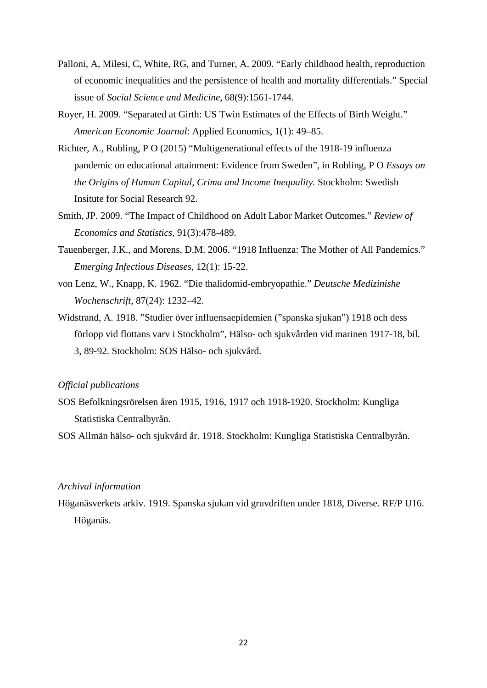- Palloni, A, Milesi, C, White, RG, and Turner, A. 2009. "Early childhood health, reproduction of economic inequalities and the persistence of health and mortality differentials." Special issue of *Social Science and Medicine*, 68(9):1561-1744.
- Royer, H. 2009. "Separated at Girth: US Twin Estimates of the Effects of Birth Weight." *American Economic Journal*: Applied Economics, 1(1): 49–85.
- Richter, A., Robling, P O (2015) "Multigenerational effects of the 1918-19 influenza pandemic on educational attainment: Evidence from Sweden", in Robling, P O *Essays on the Origins of Human Capital, Crima and Income Inequality.* Stockholm: Swedish Insitute for Social Research 92.
- Smith, JP. 2009. "The Impact of Childhood on Adult Labor Market Outcomes." *Review of Economics and Statistics*, 91(3):478-489.
- Tauenberger, J.K., and Morens, D.M. 2006. "1918 Influenza: The Mother of All Pandemics." *Emerging Infectious Diseases*, 12(1): 15-22.
- von Lenz, W., Knapp, K. 1962. "Die thalidomid-embryopathie." *Deutsche Medizinishe Wochenschrift*, 87(24): 1232–42.
- Widstrand, A. 1918. "Studier över influensaepidemien ("spanska sjukan") 1918 och dess förlopp vid flottans varv i Stockholm", Hälso- och sjukvården vid marinen 1917-18, bil. 3, 89-92. Stockholm: SOS Hälso- och sjukvård.

#### *Official publications*

SOS Befolkningsrörelsen åren 1915, 1916, 1917 och 1918-1920. Stockholm: Kungliga Statistiska Centralbyrån.

SOS Allmän hälso- och sjukvård år. 1918. Stockholm: Kungliga Statistiska Centralbyrån.

#### *Archival information*

Höganäsverkets arkiv. 1919. Spanska sjukan vid gruvdriften under 1818, Diverse. RF/P U16. Höganäs.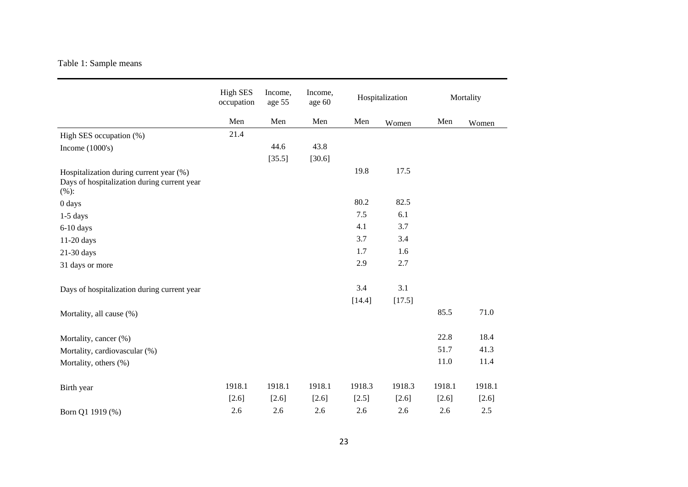### Table 1: Sample means

|                                                                                                   | <b>High SES</b><br>occupation | Income,<br>age 55 | Income,<br>age 60 |         | Hospitalization |         | Mortality |
|---------------------------------------------------------------------------------------------------|-------------------------------|-------------------|-------------------|---------|-----------------|---------|-----------|
|                                                                                                   | Men                           | Men               | Men               | Men     | Women           | Men     | Women     |
| High SES occupation (%)                                                                           | 21.4                          |                   |                   |         |                 |         |           |
| Income $(1000's)$                                                                                 |                               | 44.6              | 43.8              |         |                 |         |           |
|                                                                                                   |                               | [35.5]            | [30.6]            |         |                 |         |           |
| Hospitalization during current year (%)<br>Days of hospitalization during current year<br>$(\%):$ |                               |                   |                   | 19.8    | 17.5            |         |           |
| 0 days                                                                                            |                               |                   |                   | 80.2    | 82.5            |         |           |
| $1-5$ days                                                                                        |                               |                   |                   | 7.5     | 6.1             |         |           |
| $6-10$ days                                                                                       |                               |                   |                   | 4.1     | 3.7             |         |           |
| 11-20 days                                                                                        |                               |                   |                   | 3.7     | 3.4             |         |           |
| 21-30 days                                                                                        |                               |                   |                   | 1.7     | 1.6             |         |           |
| 31 days or more                                                                                   |                               |                   |                   | 2.9     | 2.7             |         |           |
| Days of hospitalization during current year                                                       |                               |                   |                   | 3.4     | 3.1             |         |           |
|                                                                                                   |                               |                   |                   | [14.4]  | [17.5]          |         |           |
| Mortality, all cause (%)                                                                          |                               |                   |                   |         |                 | 85.5    | 71.0      |
| Mortality, cancer (%)                                                                             |                               |                   |                   |         |                 | 22.8    | 18.4      |
| Mortality, cardiovascular (%)                                                                     |                               |                   |                   |         |                 | 51.7    | 41.3      |
| Mortality, others (%)                                                                             |                               |                   |                   |         |                 | 11.0    | 11.4      |
| Birth year                                                                                        | 1918.1                        | 1918.1            | 1918.1            | 1918.3  | 1918.3          | 1918.1  | 1918.1    |
|                                                                                                   | $[2.6]$                       | $[2.6]$           | $[2.6]$           | $[2.5]$ | $[2.6]$         | $[2.6]$ | [2.6]     |
| Born Q1 1919 (%)                                                                                  | 2.6                           | 2.6               | 2.6               | 2.6     | 2.6             | 2.6     | 2.5       |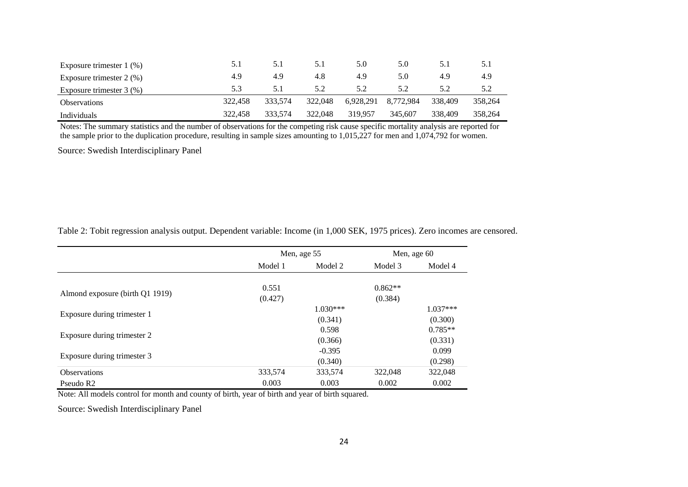| Exposure trimester $1$ (%)    |         | 5.1     | 5.1     | 5.0       | 5.0       | 5.1     | 5.1     |
|-------------------------------|---------|---------|---------|-----------|-----------|---------|---------|
| Exposure trimester $2 \ (\%)$ | 4.9     | 4.9     | 4.8     | 4.9       | 5.0       | 4.9     | 4.9     |
| Exposure trimester $3$ (%)    |         | 5.1     | 5.2     | 5.2       | 5.2       |         |         |
| <b>Observations</b>           | 322.458 | 333.574 | 322,048 | 6.928.291 | 8.772.984 | 338.409 | 358.264 |
| Individuals                   | 322,458 | 333,574 | 322,048 | 319.957   | 345,607   | 338,409 | 358,264 |

Notes: The summary statistics and the number of observations for the competing risk cause specific mortality analysis are reported for the sample prior to the duplication procedure, resulting in sample sizes amounting to 1,015,227 for men and 1,074,792 for women.

Source: Swedish Interdisciplinary Panel

|                                 |            | Men, age 55 | Men, age 60 |            |  |
|---------------------------------|------------|-------------|-------------|------------|--|
|                                 | Model 1    | Model 2     | Model 3     | Model 4    |  |
|                                 | 0.551      |             | $0.862**$   |            |  |
| Almond exposure (birth Q1 1919) | (0.427)    |             | (0.384)     |            |  |
|                                 | $1.030***$ |             |             | $1.037***$ |  |
| Exposure during trimester 1     |            | (0.341)     |             | (0.300)    |  |
|                                 |            | 0.598       |             | $0.785**$  |  |
| Exposure during trimester 2     |            | (0.366)     |             | (0.331)    |  |
|                                 |            | $-0.395$    |             | 0.099      |  |
| Exposure during trimester 3     |            | (0.340)     |             | (0.298)    |  |
| <b>Observations</b>             | 333,574    | 333,574     | 322,048     | 322,048    |  |
| Pseudo R <sub>2</sub>           | 0.003      | 0.003       | 0.002       | 0.002      |  |

Table 2: Tobit regression analysis output. Dependent variable: Income (in 1,000 SEK, 1975 prices). Zero incomes are censored.

Note: All models control for month and county of birth, year of birth and year of birth squared.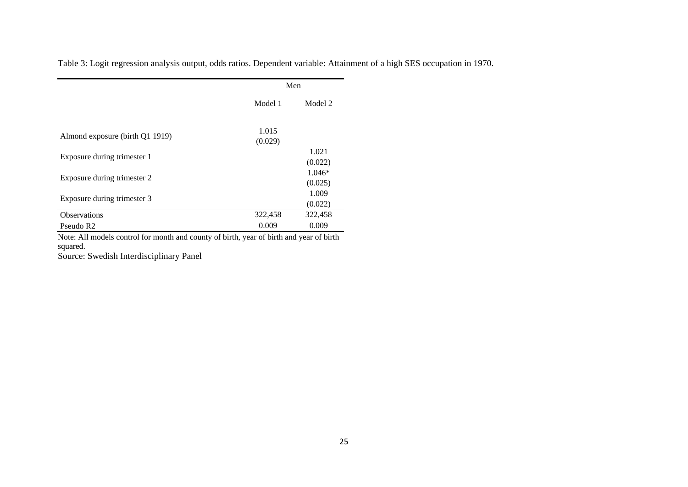Table 3: Logit regression analysis output, odds ratios. Dependent variable: Attainment of a high SES occupation in 1970.

|                                 |                  | Men                 |
|---------------------------------|------------------|---------------------|
|                                 | Model 1          | Model 2             |
| Almond exposure (birth Q1 1919) | 1.015<br>(0.029) |                     |
| Exposure during trimester 1     |                  | 1.021<br>(0.022)    |
| Exposure during trimester 2     |                  | $1.046*$<br>(0.025) |
| Exposure during trimester 3     |                  | 1.009<br>(0.022)    |
| <b>Observations</b>             | 322,458          | 322,458             |
| Pseudo R <sub>2</sub>           | 0.009            | 0.009               |

Note: All models control for month and county of birth, year of birth and year of birth squared.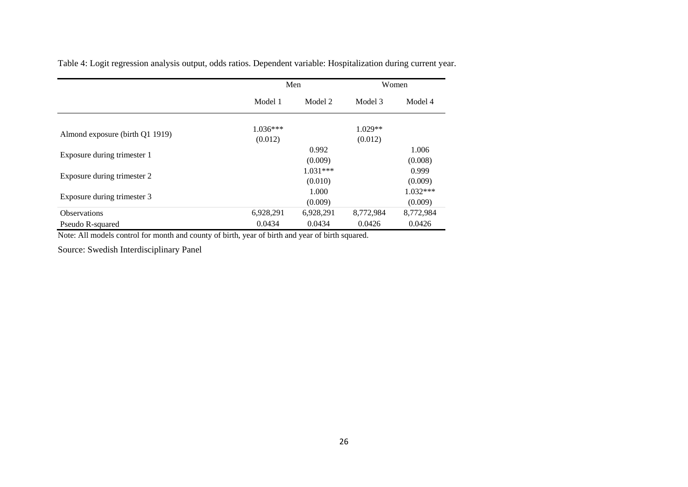Table 4: Logit regression analysis output, odds ratios. Dependent variable: Hospitalization during current year.

|                                 |                       | Men                        |                      | Women                 |  |  |
|---------------------------------|-----------------------|----------------------------|----------------------|-----------------------|--|--|
|                                 | Model 1               | Model 2                    | Model 3              | Model 4               |  |  |
| Almond exposure (birth Q1 1919) | $1.036***$<br>(0.012) |                            | $1.029**$<br>(0.012) |                       |  |  |
| Exposure during trimester 1     |                       | 0.992<br>(0.009)           |                      | 1.006<br>(0.008)      |  |  |
| Exposure during trimester 2     |                       | $1.031***$<br>(0.010)      |                      | 0.999<br>(0.009)      |  |  |
| Exposure during trimester 3     |                       | 1.000<br>(0.009)           |                      | $1.032***$<br>(0.009) |  |  |
| <b>Observations</b>             | 6,928,291             | 6,928,291                  | 8,772,984            | 8,772,984             |  |  |
| Pseudo R-squared                | 0.0434                | 0.0434<br>0.0426<br>0.0426 |                      |                       |  |  |

Note: All models control for month and county of birth, year of birth and year of birth squared.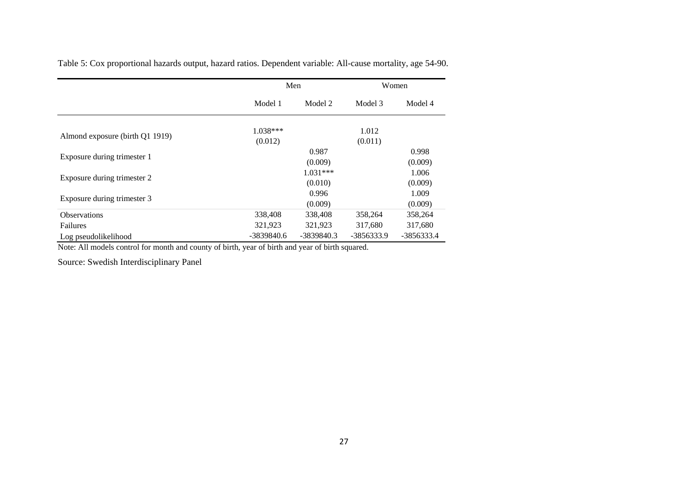Table 5: Cox proportional hazards output, hazard ratios. Dependent variable: All-cause mortality, age 54-90.

|                                 |            | Men                                             |         | Women            |  |
|---------------------------------|------------|-------------------------------------------------|---------|------------------|--|
|                                 | Model 1    | Model 2                                         | Model 3 | Model 4          |  |
| Almond exposure (birth Q1 1919) | 1.038***   | 1.012<br>(0.012)<br>(0.011)<br>0.987<br>(0.009) |         |                  |  |
| Exposure during trimester 1     |            |                                                 |         | 0.998<br>(0.009) |  |
| Exposure during trimester 2     |            | $1.031***$<br>(0.010)                           |         | 1.006<br>(0.009) |  |
| Exposure during trimester 3     |            | 0.996<br>(0.009)                                |         | 1.009<br>(0.009) |  |
| <b>Observations</b>             | 338,408    | 338,408                                         | 358,264 | 358,264          |  |
| Failures                        | 321,923    | 321,923                                         | 317,680 | 317,680          |  |
| Log pseudolikelihood            | -3839840.6 | $-3839840.3$<br>$-3856333.9$                    |         |                  |  |

Note: All models control for month and county of birth, year of birth and year of birth squared.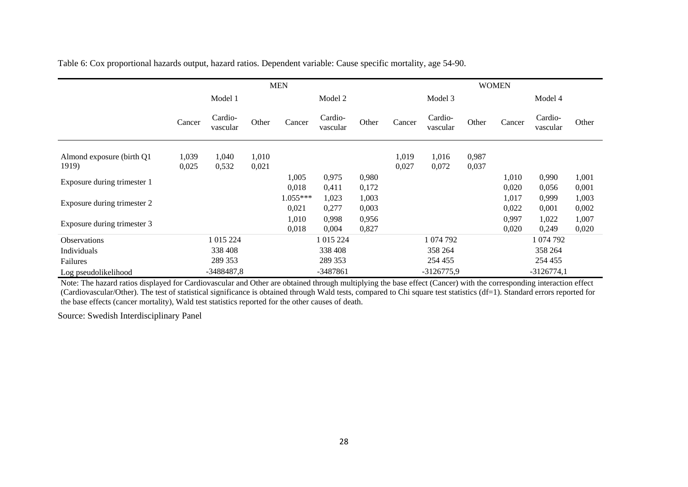|                                     | <b>MEN</b>     |                     |                |                   |                     | <b>WOMEN</b>   |                |                     |                |                |                     |                |
|-------------------------------------|----------------|---------------------|----------------|-------------------|---------------------|----------------|----------------|---------------------|----------------|----------------|---------------------|----------------|
|                                     | Model 1        |                     | Model 2        |                   | Model 3             |                |                | Model 4             |                |                |                     |                |
|                                     | Cancer         | Cardio-<br>vascular | Other          | Cancer            | Cardio-<br>vascular | Other          | Cancer         | Cardio-<br>vascular | Other          | Cancer         | Cardio-<br>vascular | Other          |
| Almond exposure (birth Q1)<br>1919) | 1,039<br>0,025 | 1,040<br>0,532      | 1,010<br>0,021 |                   |                     |                | 1,019<br>0,027 | 1,016<br>0,072      | 0,987<br>0,037 |                |                     |                |
| Exposure during trimester 1         |                |                     |                | 1,005<br>0,018    | 0,975<br>0,411      | 0,980<br>0,172 |                |                     |                | 1,010<br>0,020 | 0,990<br>0,056      | 1,001<br>0,001 |
| Exposure during trimester 2         |                |                     |                | 1.055***<br>0,021 | 1,023<br>0,277      | 1,003<br>0,003 |                |                     |                | 1,017<br>0,022 | 0,999<br>0,001      | 1,003<br>0,002 |
| Exposure during trimester 3         |                |                     |                | 1,010<br>0,018    | 0,998<br>0,004      | 0,956<br>0,827 |                |                     |                | 0,997<br>0,020 | 1,022<br>0,249      | 1,007<br>0,020 |
| <b>Observations</b>                 |                | 1 015 224           |                |                   | 1 015 224           |                |                | 1 074 792           |                |                | 1 074 792           |                |
| Individuals                         |                | 338 408             |                |                   | 338 408             |                |                | 358 264             |                |                | 358 264             |                |
| Failures                            |                | 289 353             |                |                   | 289 353             |                |                | 254 455             |                |                | 254 455             |                |
| Log pseudolikelihood                |                | -3488487,8          |                |                   | -3487861            |                |                | -3126775,9          |                |                | $-3126774,1$        |                |

Note: The hazard ratios displayed for Cardiovascular and Other are obtained through multiplying the base effect (Cancer) with the corresponding interaction effect (Cardiovascular/Other). The test of statistical significance is obtained through Wald tests, compared to Chi square test statistics (df=1). Standard errors reported for the base effects (cancer mortality), Wald test statistics reported for the other causes of death.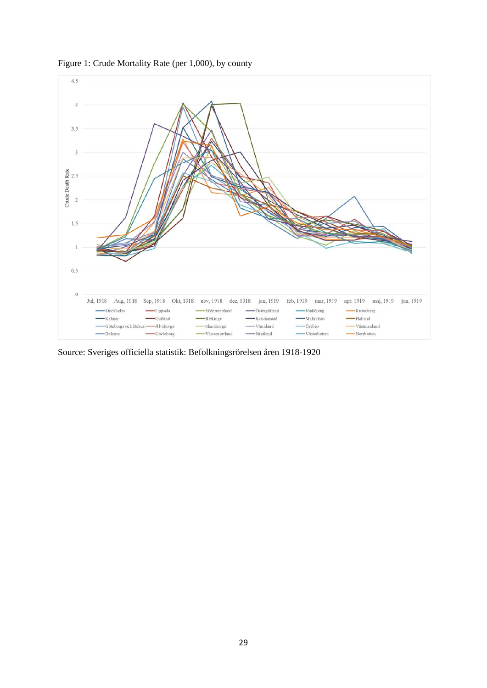

Figure 1: Crude Mortality Rate (per 1,000), by county

Source: Sveriges officiella statistik: Befolkningsrörelsen åren 1918-1920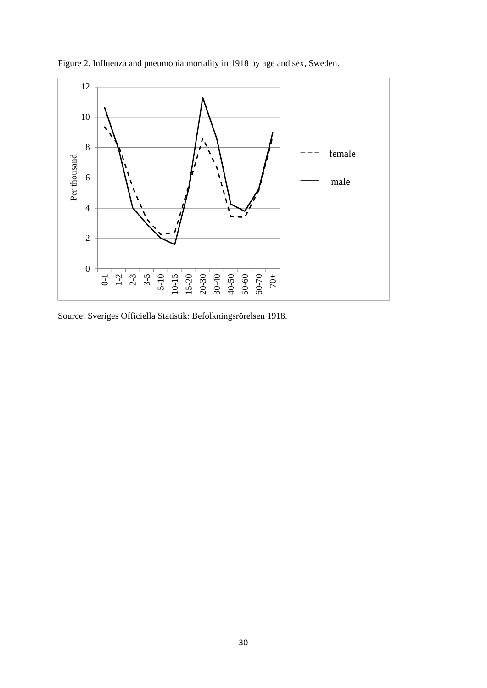

Figure 2. Influenza and pneumonia mortality in 1918 by age and sex, Sweden.

Source: Sveriges Officiella Statistik: Befolkningsrörelsen 1918.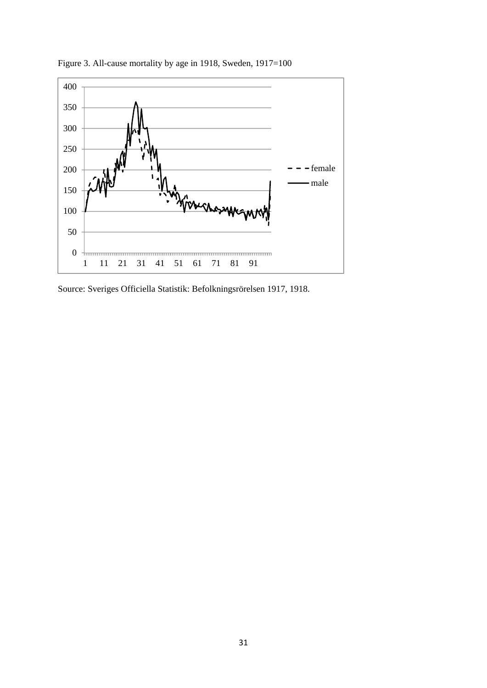

Figure 3. All-cause mortality by age in 1918, Sweden, 1917=100

Source: Sveriges Officiella Statistik: Befolkningsrörelsen 1917, 1918.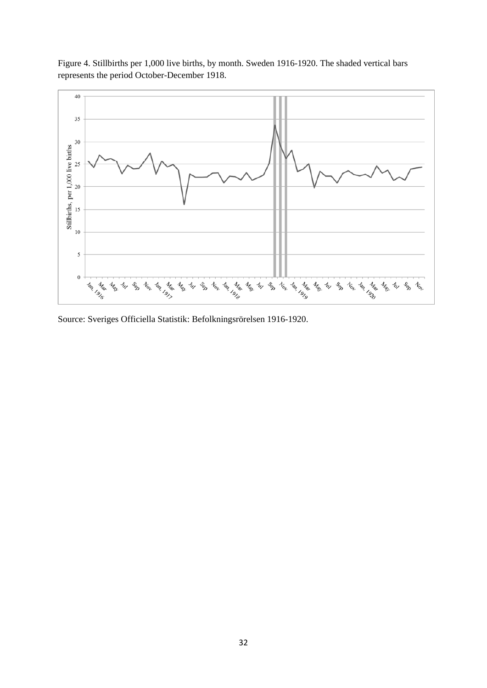



Source: Sveriges Officiella Statistik: Befolkningsrörelsen 1916-1920.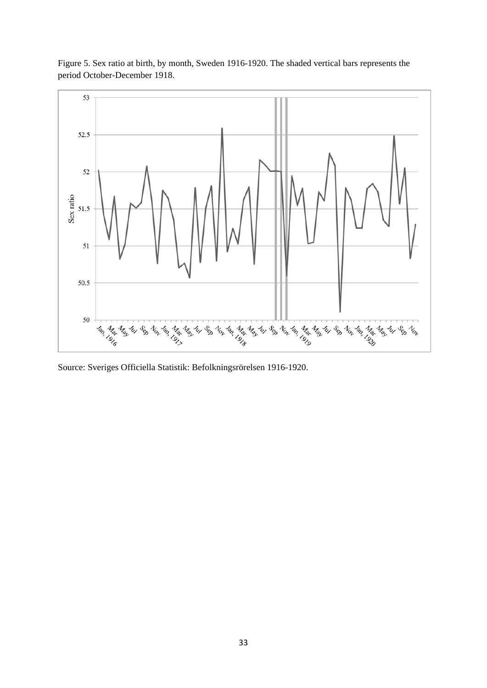

Figure 5. Sex ratio at birth, by month, Sweden 1916-1920. The shaded vertical bars represents the period October-December 1918.

Source: Sveriges Officiella Statistik: Befolkningsrörelsen 1916-1920.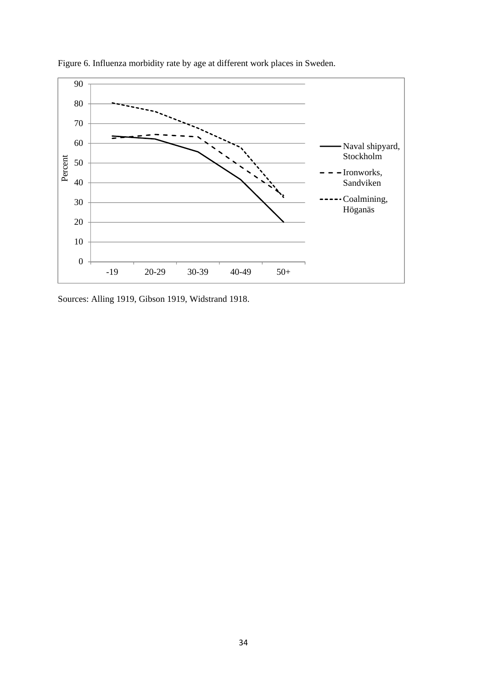

Figure 6. Influenza morbidity rate by age at different work places in Sweden.

Sources: Alling 1919, Gibson 1919, Widstrand 1918.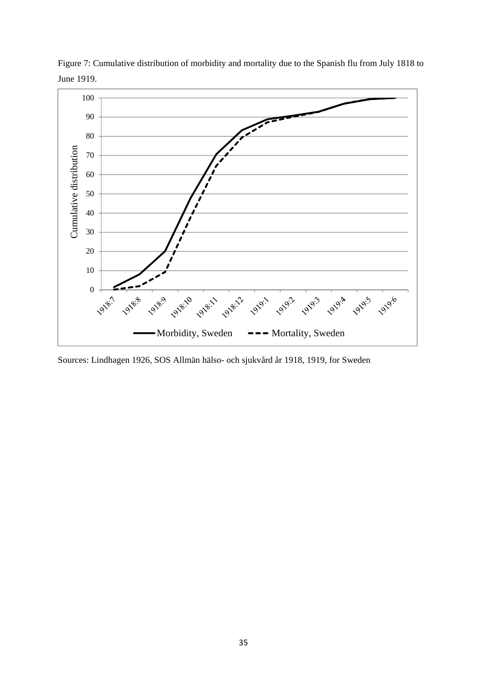

Figure 7: Cumulative distribution of morbidity and mortality due to the Spanish flu from July 1818 to June 1919.

Sources: Lindhagen 1926, SOS Allmän hälso- och sjukvård år 1918, 1919, for Sweden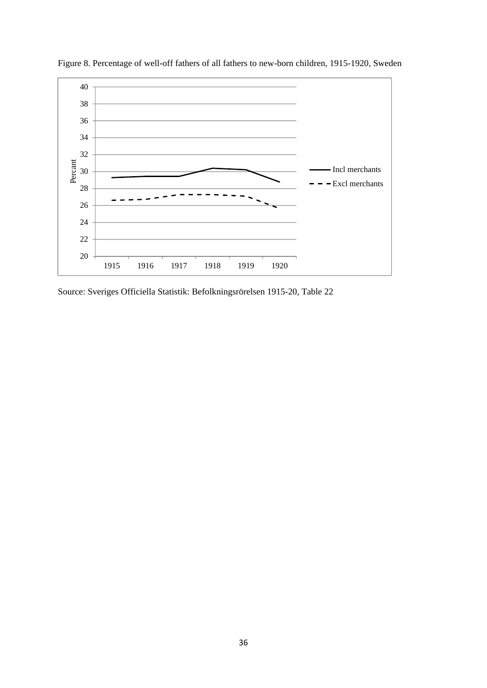

Figure 8. Percentage of well-off fathers of all fathers to new-born children, 1915-1920, Sweden

Source: Sveriges Officiella Statistik: Befolkningsrörelsen 1915-20, Table 22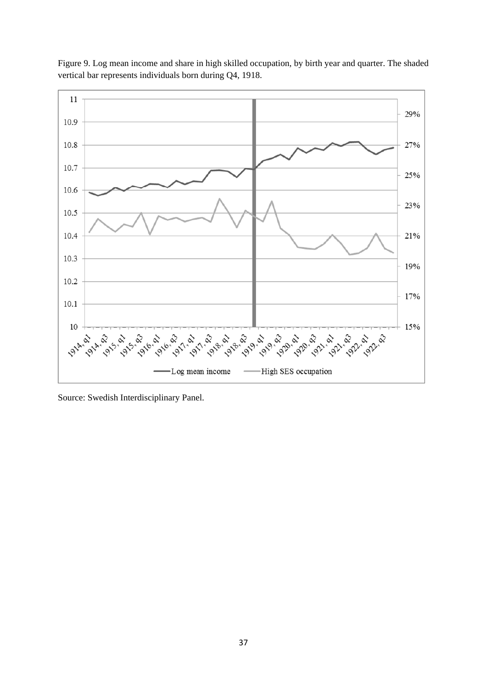

Figure 9. Log mean income and share in high skilled occupation, by birth year and quarter. The shaded vertical bar represents individuals born during Q4, 1918.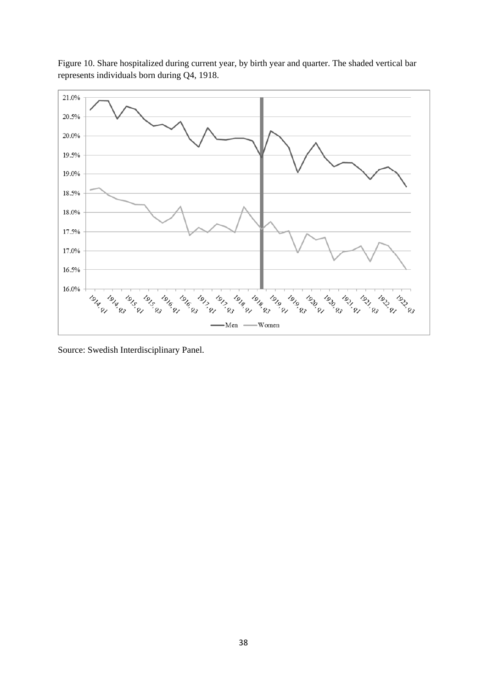

Figure 10. Share hospitalized during current year, by birth year and quarter. The shaded vertical bar represents individuals born during Q4, 1918.

Source: Swedish Interdisciplinary Panel.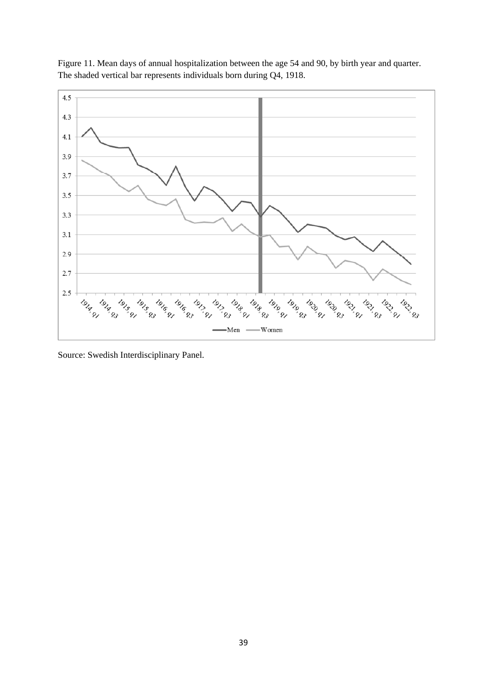

Figure 11. Mean days of annual hospitalization between the age 54 and 90, by birth year and quarter. The shaded vertical bar represents individuals born during Q4, 1918.

Source: Swedish Interdisciplinary Panel.